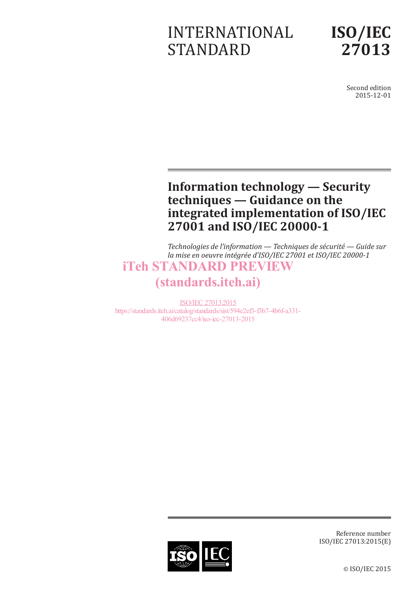# INTERNATIONAL STANDARD



Second edition 2015-12-01

## **Information technology — Security techniques — Guidance on the integrated implementation of ISO/IEC 27001 and ISO/IEC 20000-1**

*Technologies de l'information — Techniques de sécurité — Guide sur la mise en oeuvre intégrée d'ISO/IEC 27001 et ISO/IEC 20000-1* iTeh STANDARD PREVIEW

# (standards.iteh.ai)

ISO/IEC 27013:2015 https://standards.iteh.ai/catalog/standards/sist/594e2ef3-f3b7-4b6f-a331- 406d69237cc4/iso-iec-27013-2015



Reference number ISO/IEC 27013:2015(E)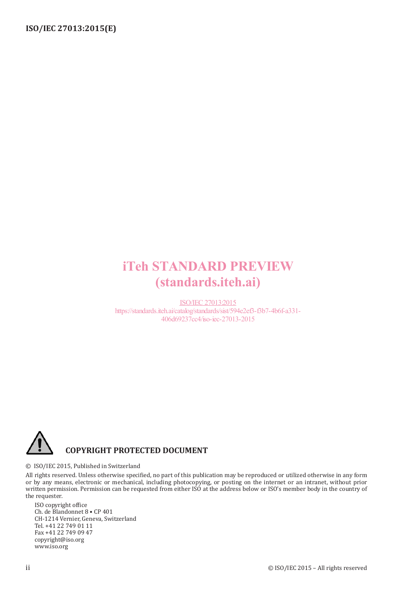# iTeh STANDARD PREVIEW (standards.iteh.ai)

ISO/IEC 27013:2015 https://standards.iteh.ai/catalog/standards/sist/594e2ef3-f3b7-4b6f-a331- 406d69237cc4/iso-iec-27013-2015



© ISO/IEC 2015, Published in Switzerland

All rights reserved. Unless otherwise specified, no part of this publication may be reproduced or utilized otherwise in any form or by any means, electronic or mechanical, including photocopying, or posting on the internet or an intranet, without prior written permission. Permission can be requested from either ISO at the address below or ISO's member body in the country of the requester.

ISO copyright office Ch. de Blandonnet 8 • CP 401 CH-1214 Vernier, Geneva, Switzerland Tel. +41 22 749 01 11 Fax +41 22 749 09 47 copyright@iso.org www.iso.org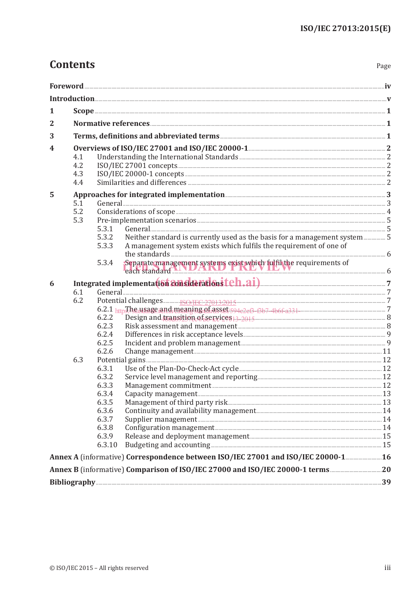## **Contents**

| ×<br>٧<br>×<br>۰, |
|-------------------|
|-------------------|

| 1            |                                                                                                                                                                                                                                |                                                                                                                                                                                                                                            |                                                                                     |  |  |
|--------------|--------------------------------------------------------------------------------------------------------------------------------------------------------------------------------------------------------------------------------|--------------------------------------------------------------------------------------------------------------------------------------------------------------------------------------------------------------------------------------------|-------------------------------------------------------------------------------------|--|--|
| $\mathbf{2}$ |                                                                                                                                                                                                                                |                                                                                                                                                                                                                                            |                                                                                     |  |  |
| 3            |                                                                                                                                                                                                                                |                                                                                                                                                                                                                                            |                                                                                     |  |  |
|              |                                                                                                                                                                                                                                |                                                                                                                                                                                                                                            |                                                                                     |  |  |
| 4            | 4.1                                                                                                                                                                                                                            |                                                                                                                                                                                                                                            |                                                                                     |  |  |
|              | 4.2                                                                                                                                                                                                                            |                                                                                                                                                                                                                                            |                                                                                     |  |  |
|              | 4.3                                                                                                                                                                                                                            |                                                                                                                                                                                                                                            |                                                                                     |  |  |
|              | 4.4                                                                                                                                                                                                                            | Similarities and differences <b><i>manufacture and all the contract and all the contract and all the contract and all the contract and all the contract and all the contract and all the contract and all the contract and all the</i></b> |                                                                                     |  |  |
| 5            | Approaches for integrated implementation                                                                                                                                                                                       |                                                                                                                                                                                                                                            |                                                                                     |  |  |
|              | 5.1                                                                                                                                                                                                                            |                                                                                                                                                                                                                                            |                                                                                     |  |  |
|              | 5.2<br>5.3                                                                                                                                                                                                                     |                                                                                                                                                                                                                                            |                                                                                     |  |  |
|              |                                                                                                                                                                                                                                |                                                                                                                                                                                                                                            |                                                                                     |  |  |
|              |                                                                                                                                                                                                                                | 5.3.1                                                                                                                                                                                                                                      |                                                                                     |  |  |
|              |                                                                                                                                                                                                                                | 5.3.2                                                                                                                                                                                                                                      |                                                                                     |  |  |
|              |                                                                                                                                                                                                                                | 5.3.3                                                                                                                                                                                                                                      | A management system exists which fulfils the requirement of one of                  |  |  |
|              |                                                                                                                                                                                                                                |                                                                                                                                                                                                                                            |                                                                                     |  |  |
|              |                                                                                                                                                                                                                                | 5.3.4                                                                                                                                                                                                                                      | Separate management systems exist which fulfil the requirements of<br>each standard |  |  |
| 6            | Integrated implementation adnsiderations teh.ai) [1993] [2003] [2004] [2004] [2004] [2004] [2004] [2004] [2004] [2004] [2004] [2004] [2004] [2004] [2004] [2004] [2004] [2004] [2004] [2004] [2004] [2004] [2004] [2004] [2004 |                                                                                                                                                                                                                                            |                                                                                     |  |  |
|              | 6.1                                                                                                                                                                                                                            |                                                                                                                                                                                                                                            |                                                                                     |  |  |
|              | 6.2                                                                                                                                                                                                                            |                                                                                                                                                                                                                                            |                                                                                     |  |  |
|              |                                                                                                                                                                                                                                |                                                                                                                                                                                                                                            |                                                                                     |  |  |
|              |                                                                                                                                                                                                                                | 6.2.2                                                                                                                                                                                                                                      |                                                                                     |  |  |
|              |                                                                                                                                                                                                                                | 6.2.3                                                                                                                                                                                                                                      |                                                                                     |  |  |
|              |                                                                                                                                                                                                                                | 6.2.4                                                                                                                                                                                                                                      |                                                                                     |  |  |
|              |                                                                                                                                                                                                                                | 6.2.5                                                                                                                                                                                                                                      |                                                                                     |  |  |
|              |                                                                                                                                                                                                                                | 6.2.6                                                                                                                                                                                                                                      |                                                                                     |  |  |
|              | 6.3                                                                                                                                                                                                                            |                                                                                                                                                                                                                                            |                                                                                     |  |  |
|              |                                                                                                                                                                                                                                | 6.3.1                                                                                                                                                                                                                                      |                                                                                     |  |  |
|              |                                                                                                                                                                                                                                | 6.3.2                                                                                                                                                                                                                                      |                                                                                     |  |  |
|              |                                                                                                                                                                                                                                | 6.3.3                                                                                                                                                                                                                                      |                                                                                     |  |  |
|              |                                                                                                                                                                                                                                | 6.3.4<br>6.3.5                                                                                                                                                                                                                             |                                                                                     |  |  |
|              |                                                                                                                                                                                                                                | 6.3.6                                                                                                                                                                                                                                      |                                                                                     |  |  |
|              |                                                                                                                                                                                                                                | 6.3.7                                                                                                                                                                                                                                      |                                                                                     |  |  |
|              |                                                                                                                                                                                                                                | 6.3.8                                                                                                                                                                                                                                      |                                                                                     |  |  |
|              |                                                                                                                                                                                                                                | 6.3.9                                                                                                                                                                                                                                      |                                                                                     |  |  |
|              |                                                                                                                                                                                                                                | 6.3.10                                                                                                                                                                                                                                     |                                                                                     |  |  |
|              |                                                                                                                                                                                                                                |                                                                                                                                                                                                                                            | Annex A (informative) Correspondence between ISO/IEC 27001 and ISO/IEC 20000-116    |  |  |
|              |                                                                                                                                                                                                                                |                                                                                                                                                                                                                                            |                                                                                     |  |  |
|              |                                                                                                                                                                                                                                |                                                                                                                                                                                                                                            |                                                                                     |  |  |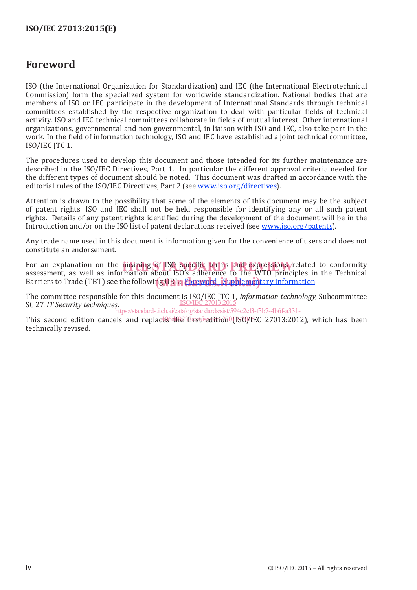## **Foreword**

ISO (the International Organization for Standardization) and IEC (the International Electrotechnical Commission) form the specialized system for worldwide standardization. National bodies that are members of ISO or IEC participate in the development of International Standards through technical committees established by the respective organization to deal with particular fields of technical activity. ISO and IEC technical committees collaborate in fields of mutual interest. Other international organizations, governmental and non-governmental, in liaison with ISO and IEC, also take part in the work. In the field of information technology, ISO and IEC have established a joint technical committee, ISO/IEC JTC 1.

The procedures used to develop this document and those intended for its further maintenance are described in the ISO/IEC Directives, Part 1. In particular the different approval criteria needed for the different types of document should be noted. This document was drafted in accordance with the editorial rules of the ISO/IEC Directives, Part 2 (see www.iso.org/directives).

Attention is drawn to the possibility that some of the elements of this document may be the subject of patent rights. ISO and IEC shall not be held responsible for identifying any or all such patent rights. Details of any patent rights identified during the development of the document will be in the Introduction and/or on the ISO list of patent declarations received (see www.iso.org/patents).

Any trade name used in this document is information given for the convenience of users and does not constitute an endorsement.

For an explanation on the meaning of ISO specific terms and expressions related to conformity<br>assessment as well as information about ISO's adherence to the WTO principles in the Technical assessment, as well as information about ISO's adherence to the WTO principles in the Technical descessioning, as went as information about 150 standards to the time principles in

The committee responsible for this document is ISO/IEC JTC 1, *Information technology*, Subcommittee SC 27, *IT Security techniques*. ISO/IEC 27013:2015 https://standards.iteh.ai/catalog/standards/sist/594e2ef3-f3b7-4b6f-a331-

This second edition cancels and replac<del>es the first edition</del> (ISO/IEC 27013:2012), which has been technically revised.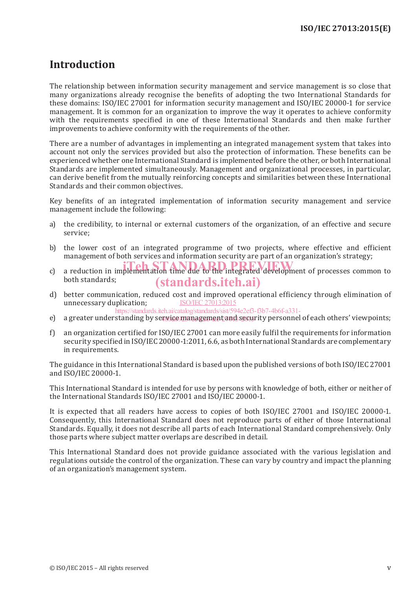### **Introduction**

The relationship between information security management and service management is so close that many organizations already recognise the benefits of adopting the two International Standards for these domains: ISO/IEC 27001 for information security management and ISO/IEC 20000-1 for service management. It is common for an organization to improve the way it operates to achieve conformity with the requirements specified in one of these International Standards and then make further improvements to achieve conformity with the requirements of the other.

There are a number of advantages in implementing an integrated management system that takes into account not only the services provided but also the protection of information. These benefits can be experienced whether one International Standard is implemented before the other, or both International Standards are implemented simultaneously. Management and organizational processes, in particular, can derive benefit from the mutually reinforcing concepts and similarities between these International Standards and their common objectives.

Key benefits of an integrated implementation of information security management and service management include the following:

- a) the credibility, to internal or external customers of the organization, of an effective and secure service;
- b) the lower cost of an integrated programme of two projects, where effective and efficient management of both services and information security are part of an organization's strategy;
- c) a reduction in implementation time due to the integrated development of processes common to both standards; (standards.iteh.ai)
- d) better communication, reduced cost and improved operational efficiency through elimination of unnecessary duplication; ISO/IEC 27013:2015 https://standards.iteh.ai/catalog/standards/sist/594e2ef3-f3b7-4b6f-a331-
- e) a greater understanding by ser<u>wice management and secu</u>rity personnel of each others' viewpoints;
- f) an organization certified for ISO/IEC 27001 can more easily fulfil the requirements for information security specified in ISO/IEC 20000-1:2011, 6.6, as both International Standards are complementary in requirements.

The guidance in this International Standard is based upon the published versions of both ISO/IEC 27001 and ISO/IEC 20000-1.

This International Standard is intended for use by persons with knowledge of both, either or neither of the International Standards ISO/IEC 27001 and ISO/IEC 20000-1.

It is expected that all readers have access to copies of both ISO/IEC 27001 and ISO/IEC 20000-1. Consequently, this International Standard does not reproduce parts of either of those International Standards. Equally, it does not describe all parts of each International Standard comprehensively. Only those parts where subject matter overlaps are described in detail.

This International Standard does not provide guidance associated with the various legislation and regulations outside the control of the organization. These can vary by country and impact the planning of an organization's management system.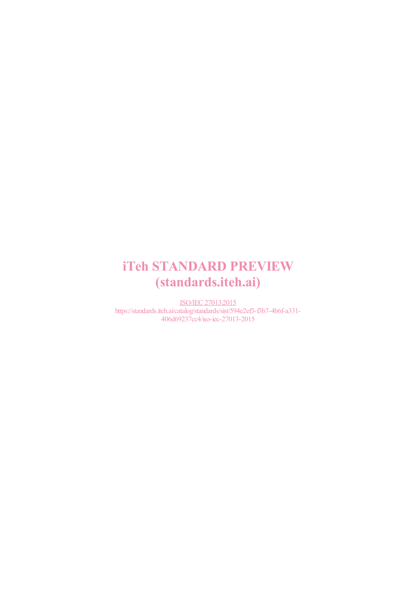# iTeh STANDARD PREVIEW (standards.iteh.ai)

ISO/IEC 27013:2015 https://standards.iteh.ai/catalog/standards/sist/594e2ef3-f3b7-4b6f-a331- 406d69237cc4/iso-iec-27013-2015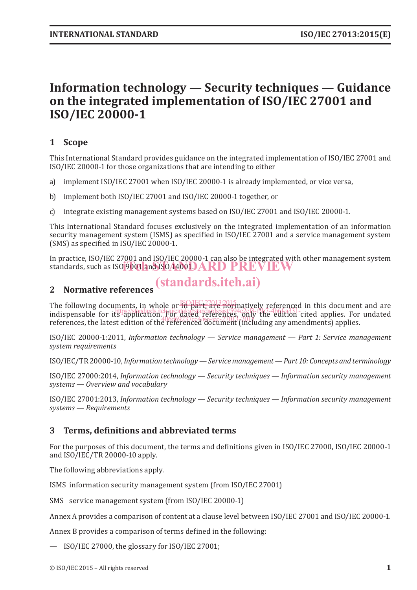## **Information technology — Security techniques — Guidance on the integrated implementation of ISO/IEC 27001 and ISO/IEC 20000-1**

### **1 Scope**

This International Standard provides guidance on the integrated implementation of ISO/IEC 27001 and ISO/IEC 20000-1 for those organizations that are intending to either

- a) implement ISO/IEC 27001 when ISO/IEC 20000-1 is already implemented, or vice versa,
- b) implement both ISO/IEC 27001 and ISO/IEC 20000-1 together, or
- c) integrate existing management systems based on ISO/IEC 27001 and ISO/IEC 20000-1.

This International Standard focuses exclusively on the integrated implementation of an information security management system (ISMS) as specified in ISO/IEC 27001 and a service management system (SMS) as specified in ISO/IEC 20000-1.

In practice, ISO/IEC 27001 and ISO/IEC 20000-1 can also be integrated with other management system standards, such as ISO 9001 and ISO/120 20000 1 can also be integrated with

## (standards.iteh.ai)

### **2 Normative references**

The following documents, in whole or  $\frac{150}{150}$  is  $\frac{27013}{100}$  in part, are normatively referenced in this document and are indispensable for its application. For dated references, only the edition cited applies. For undated indispensable for its application. For undated references, the latest edition of the referenced document (including any amendments) applies.

ISO/IEC 20000-1:2011, *Information technology — Service management — Part 1: Service management system requirements*

ISO/IEC/TR20000-10, *Information technology — Service management — Part 10: Concepts and terminology*

ISO/IEC 27000:2014, *Information technology — Security techniques — Information security management systems — Overview and vocabulary*

ISO/IEC 27001:2013, *Information technology — Security techniques — Information security management systems — Requirements*

### **3 Terms, definitions and abbreviated terms**

For the purposes of this document, the terms and definitions given in ISO/IEC 27000, ISO/IEC 20000-1 and ISO/IEC/TR 20000-10 apply.

The following abbreviations apply.

ISMS information security management system (from ISO/IEC 27001)

SMS service management system (from ISO/IEC 20000-1)

Annex A provides a comparison of content at a clause level between ISO/IEC 27001 and ISO/IEC 20000-1.

Annex B provides a comparison of terms defined in the following:

— ISO/IEC 27000, the glossary for ISO/IEC 27001;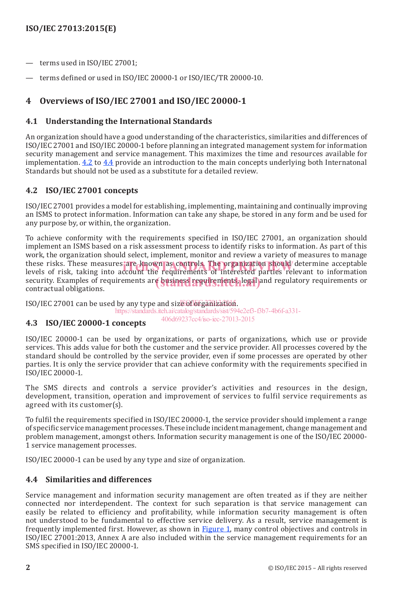- terms used in ISO/IEC 27001;
- terms defined or used in ISO/IEC 20000-1 or ISO/IEC/TR 20000-10.

### **4 Overviews of ISO/IEC 27001 and ISO/IEC 20000-1**

### **4.1 Understanding the International Standards**

An organization should have a good understanding of the characteristics, similarities and differences of ISO/IEC 27001 and ISO/IEC 20000-1 before planning an integrated management system for information security management and service management. This maximizes the time and resources available for implementation. 4.2 to 4.4 provide an introduction to the main concepts underlying both Internatonal Standards but should not be used as a substitute for a detailed review.

### **4.2 ISO/IEC 27001 concepts**

ISO/IEC 27001 provides a model for establishing, implementing, maintaining and continually improving an ISMS to protect information. Information can take any shape, be stored in any form and be used for any purpose by, or within, the organization.

To achieve conformity with the requirements specified in ISO/IEC 27001, an organization should implement an ISMS based on a risk assessment process to identify risks to information. As part of this work, the organization should select, implement, monitor and review a variety of measures to manage these risks. These measures are known as controls. The organization should determine acceptable these risks. These measures are known as controls. The organization should determine acceptable<br>levels of risk, taking into account the requirements of interested parties relevant to information security. Examples of requirements are business requirements, legal) and regulatory requirements or<br>contractual obligations contractual obligations.

ISO/IEC 27001 can be used by any type and size of Greamization.

https://standards.iteh.ai/catalog/standards/sist/594e2ef3-f3b7-4b6f-a331-

### **4.3 ISO/IEC 20000-1 concepts**

ISO/IEC 20000-1 can be used by organizations, or parts of organizations, which use or provide services. This adds value for both the customer and the service provider. All processes covered by the standard should be controlled by the service provider, even if some processes are operated by other parties. It is only the service provider that can achieve conformity with the requirements specified in ISO/IEC 20000-1.

406d69237cc4/iso-iec-27013-2015

The SMS directs and controls a service provider's activities and resources in the design, development, transition, operation and improvement of services to fulfil service requirements as agreed with its customer(s).

To fulfil the requirements specified in ISO/IEC 20000-1, the service provider should implement a range of specific service management processes. These include incident management, change management and problem management, amongst others. Information security management is one of the ISO/IEC 20000- 1 service management processes.

ISO/IEC 20000-1 can be used by any type and size of organization.

### **4.4 Similarities and differences**

Service management and information security management are often treated as if they are neither connected nor interdependent. The context for such separation is that service management can easily be related to efficiency and profitability, while information security management is often not understood to be fundamental to effective service delivery. As a result, service management is frequently implemented first. However, as shown in Figure 1, many control objectives and controls in ISO/IEC 27001:2013, Annex A are also included within the service management requirements for an SMS specified in ISO/IEC 20000-1.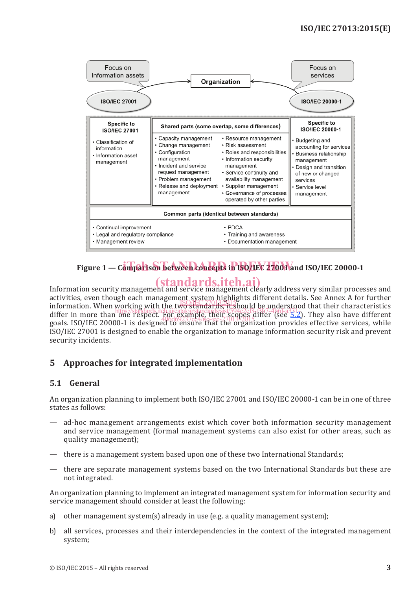

# $F$ igure  $1 - C$ omparison between concepts in **ISO/IEC** 27001 and ISO/IEC 20000-1

Information security management and service management clearly address very similar processes and activities, even though each management system highlights different details. See Annex A for further information. When working with the two standards, it should be understood that their characteristics information. When working with the two standards, it should be understood that their characteristics differ in more than one respect. For example, their scopes differ (see 5.2). They also have different different and the more than one respect. For example, their scopes differ (see 5.2). They also have different and in more than one respect. To a sample, then 703-2013 and (see <u>5.2</u>). They also have different<br>goals. ISO/IEC 20000-1 is designed to ensure that the organization provides effective services, while ISO/IEC 27001 is designed to enable the organization to manage information security risk and prevent security incidents.

### **5 Approaches for integrated implementation**

### **5.1 General**

An organization planning to implement both ISO/IEC 27001 and ISO/IEC 20000-1 can be in one of three states as follows:

- ad-hoc management arrangements exist which cover both information security management and service management (formal management systems can also exist for other areas, such as quality management);
- there is a management system based upon one of these two International Standards;
- there are separate management systems based on the two International Standards but these are not integrated.

An organization planning to implement an integrated management system for information security and service management should consider at least the following:

- a) other management system(s) already in use (e.g. a quality management system);
- b) all services, processes and their interdependencies in the context of the integrated management system;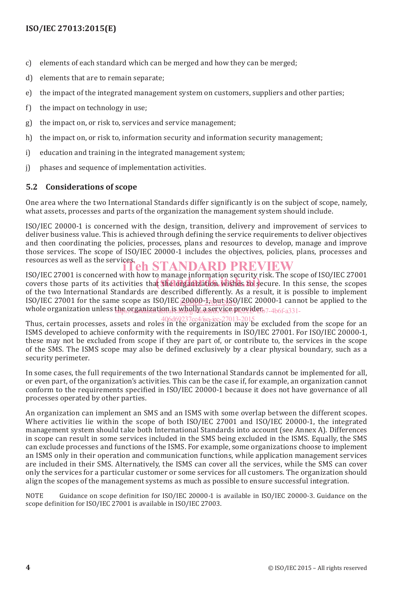### **ISO/IEC 27013:2015(E)**

- c) elements of each standard which can be merged and how they can be merged;
- d) elements that are to remain separate;
- e) the impact of the integrated management system on customers, suppliers and other parties;
- f) the impact on technology in use;
- g) the impact on, or risk to, services and service management;
- h) the impact on, or risk to, information security and information security management;
- i) education and training in the integrated management system;
- j) phases and sequence of implementation activities.

### **5.2 Considerations of scope**

One area where the two International Standards differ significantly is on the subject of scope, namely, what assets, processes and parts of the organization the management system should include.

ISO/IEC 20000-1 is concerned with the design, transition, delivery and improvement of services to deliver business value. This is achieved through defining the service requirements to deliver objectives and then coordinating the policies, processes, plans and resources to develop, manage and improve those services. The scope of ISO/IEC 20000-1 includes the objectives, policies, plans, processes and resources as well as the services. eh STANDARD PREVIEW

ISO/IEC 27001 is concerned with how to manage information security risk. The scope of ISO/IEC 27001 covers those parts of its activities that the organization. Wishes to secure. In this sense, the scopes covers those parts of its activities that the organization. Wishes to secure. In this sense, the scopes of the two International Standards are described differently. As a result, it is possible to implement ISO/IEC 27001 for the same scope as ISO/IEC <u>ROMOO-17(but ISO</u>/IEC 20000-1 cannot be applied to the whole organization unless the organization is wholly a service providen<sub>7-4b6f-a331-</sub>

Thus, certain processes, assets and roles in the organization may be excluded from the scope for an ISMS developed to achieve conformity with the requirements in ISO/IEC 27001. For ISO/IEC 20000-1, these may not be excluded from scope if they are part of, or contribute to, the services in the scope of the SMS. The ISMS scope may also be defined exclusively by a clear physical boundary, such as a security perimeter. 406d69237cc4/iso-iec-27013-2015

In some cases, the full requirements of the two International Standards cannot be implemented for all, or even part, of the organization's activities. This can be the case if, for example, an organization cannot conform to the requirements specified in ISO/IEC 20000-1 because it does not have governance of all processes operated by other parties.

An organization can implement an SMS and an ISMS with some overlap between the different scopes. Where activities lie within the scope of both ISO/IEC 27001 and ISO/IEC 20000-1, the integrated management system should take both International Standards into account (see Annex A). Differences in scope can result in some services included in the SMS being excluded in the ISMS. Equally, the SMS can exclude processes and functions of the ISMS. For example, some organizations choose to implement an ISMS only in their operation and communication functions, while application management services are included in their SMS. Alternatively, the ISMS can cover all the services, while the SMS can cover only the services for a particular customer or some services for all customers. The organization should align the scopes of the management systems as much as possible to ensure successful integration.

NOTE Guidance on scope definition for ISO/IEC 20000-1 is available in ISO/IEC 20000-3. Guidance on the scope definition for ISO/IEC 27001 is available in ISO/IEC 27003.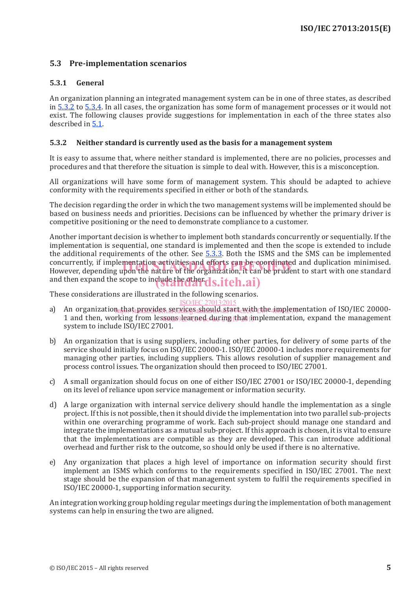### **5.3 Pre-implementation scenarios**

### **5.3.1 General**

An organization planning an integrated management system can be in one of three states, as described in 5.3.2 to 5.3.4. In all cases, the organization has some form of management processes or it would not exist. The following clauses provide suggestions for implementation in each of the three states also described in 5.1.

### **5.3.2 Neither standard is currently used as the basis for a management system**

It is easy to assume that, where neither standard is implemented, there are no policies, processes and procedures and that therefore the situation is simple to deal with. However, this is a misconception.

All organizations will have some form of management system. This should be adapted to achieve conformity with the requirements specified in either or both of the standards.

The decision regarding the order in which the two management systems will be implemented should be based on business needs and priorities. Decisions can be influenced by whether the primary driver is competitive positioning or the need to demonstrate compliance to a customer.

Another important decision is whether to implement both standards concurrently or sequentially. If the implementation is sequential, one standard is implemented and then the scope is extended to include the additional requirements of the other. See 5.3.3. Both the ISMS and the SMS can be implemented concurrently, if implementation activities and efforts can be coordinated and duplication minimised. concurrently, if implementation activities and efforts can be coordinated and duplication minimised.<br>However, depending upon the nature of the organization, it can be prudent to start with one standard and then expand the scope to include the other ds.iteh.ai)

These considerations are illustrated in the following scenarios.

**ISO/IEC 27013** 

- a) An organization<sub>tt</sub>hat provides services should start with the implementation of ISO/IEC 20000-1 and then, working from lessons learned during that implementation, expand the management system to include ISO/IEC 27001.
- b) An organization that is using suppliers, including other parties, for delivery of some parts of the service should initially focus on ISO/IEC 20000-1. ISO/IEC 20000-1 includes more requirements for managing other parties, including suppliers. This allows resolution of supplier management and process control issues. The organization should then proceed to ISO/IEC 27001.
- c) A small organization should focus on one of either ISO/IEC 27001 or ISO/IEC 20000-1, depending on its level of reliance upon service management or information security.
- d) A large organization with internal service delivery should handle the implementation as a single project. If this is not possible, then it should divide the implementation into two parallel sub-projects within one overarching programme of work. Each sub-project should manage one standard and integrate the implementations as a mutual sub-project. If this approach is chosen, it is vital to ensure that the implementations are compatible as they are developed. This can introduce additional overhead and further risk to the outcome, so should only be used if there is no alternative.
- e) Any organization that places a high level of importance on information security should first implement an ISMS which conforms to the requirements specified in ISO/IEC 27001. The next stage should be the expansion of that management system to fulfil the requirements specified in ISO/IEC 20000-1, supporting information security.

An integration working group holding regular meetings during the implementation of both management systems can help in ensuring the two are aligned.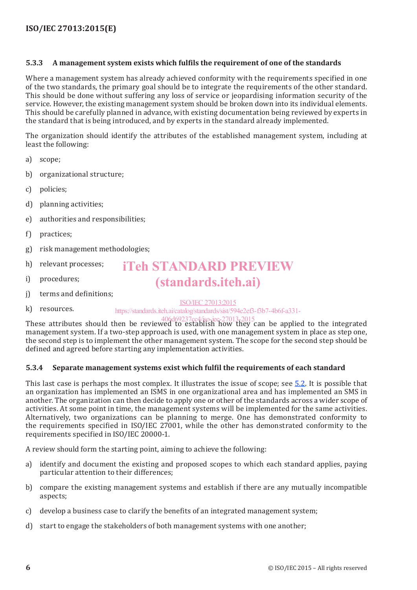### **5.3.3 A management system exists which fulfils the requirement of one of the standards**

Where a management system has already achieved conformity with the requirements specified in one of the two standards, the primary goal should be to integrate the requirements of the other standard. This should be done without suffering any loss of service or jeopardising information security of the service. However, the existing management system should be broken down into its individual elements. This should be carefully planned in advance, with existing documentation being reviewed by experts in the standard that is being introduced, and by experts in the standard already implemented.

The organization should identify the attributes of the established management system, including at least the following:

- a) scope;
- b) organizational structure;
- c) policies;
- d) planning activities;
- e) authorities and responsibilities;
- f) practices;
- g) risk management methodologies;
- h) relevant processes;
- i) procedures;
- j) terms and definitions;

### ISO/IEC 27013:2015

iTeh STANDARD PREVIEW

(standards.iteh.ai)

k) resources. https://standards.iteh.ai/catalog/standards/sist/594e2ef3-f3b7-4b6f-a331-

These attributes should then be reviewed to establish how they can be applied to the integrated management system. If a two-step approach is used, with one management system in place as step one, the second step is to implement the other management system. The scope for the second step should be defined and agreed before starting any implementation activities. 406d69237cc4/iso-iec-27013-2015

#### **5.3.4 Separate management systems exist which fulfil the requirements of each standard**

This last case is perhaps the most complex. It illustrates the issue of scope; see 5.2. It is possible that an organization has implemented an ISMS in one organizational area and has implemented an SMS in another. The organization can then decide to apply one or other of the standards across a wider scope of activities. At some point in time, the management systems will be implemented for the same activities. Alternatively, two organizations can be planning to merge. One has demonstrated conformity to the requirements specified in ISO/IEC 27001, while the other has demonstrated conformity to the requirements specified in ISO/IEC 20000-1.

A review should form the starting point, aiming to achieve the following:

- a) identify and document the existing and proposed scopes to which each standard applies, paying particular attention to their differences;
- b) compare the existing management systems and establish if there are any mutually incompatible aspects;
- c) develop a business case to clarify the benefits of an integrated management system;
- d) start to engage the stakeholders of both management systems with one another;